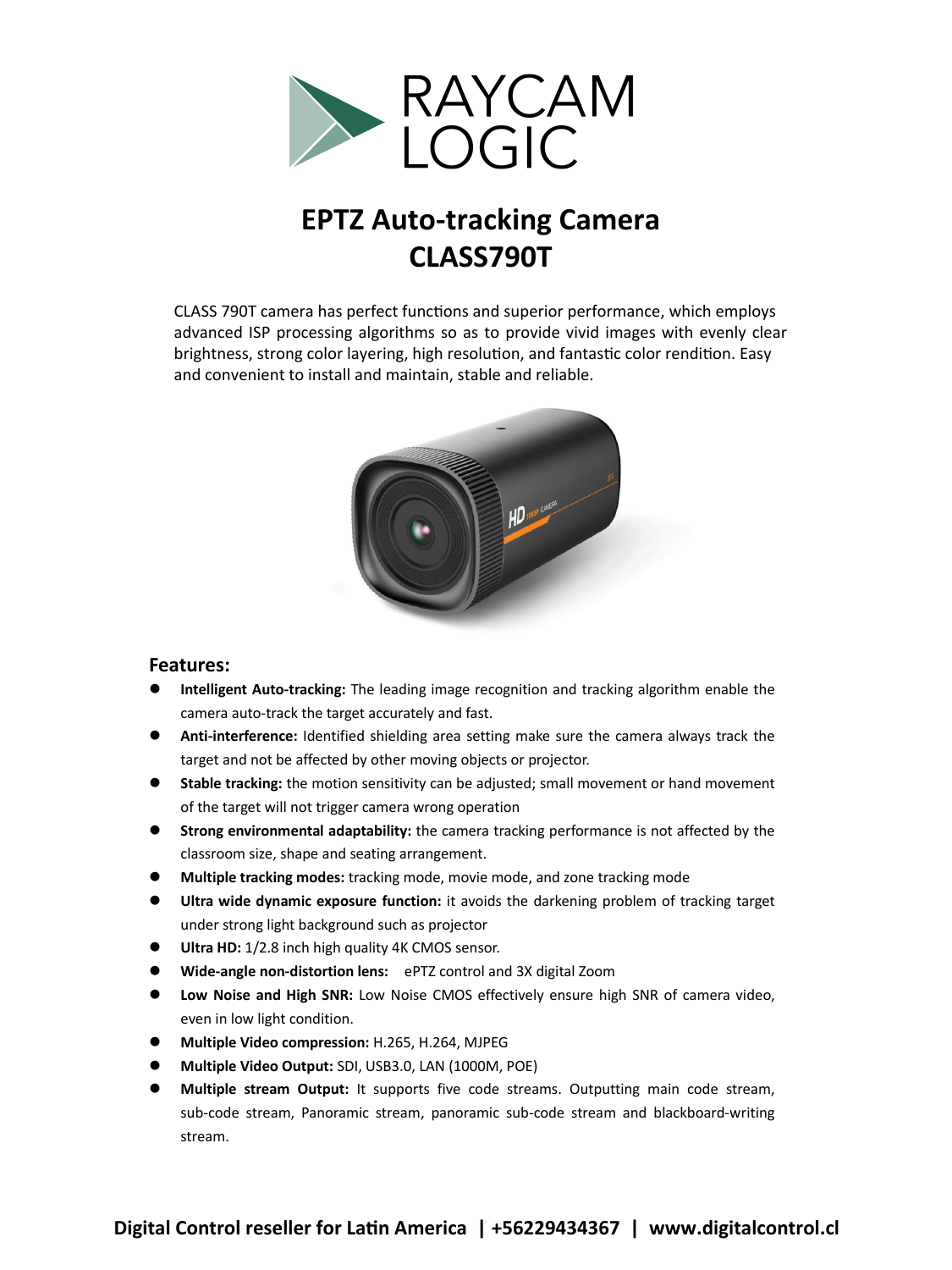

## EPT7 Auto-tracking Camera **EPTZ Auto-tracking Camera CLASS790T** and convenient to install and maintain, stable and reliable.

UV220T camera has perfect functions and superior performance, which employs CLASS 790T camera has perfect functions and superior performance, which employs advanced ISP processing algorithms so as to provide vivid images with evenly clear brightness, strong color layering, high resolution, and fantastic color rendition. Easy and convenient to install and maintain, stable and reliable.



## **Features:**

- Intelligent Auto-tracking: The leading image recognition and tracking algorithm enable the camera auto-track the target accurately and fast.
- **Anti-interference:** Identified shielding area setting make sure the camera always track the Final interference: Refigured sinclaing area setting make sare to target and not be affected by other moving objects or projector.
- **Signal Figure 1986**<br>**Stable tracking:** the motion sensitivity can be adjusted; small movement or hand movement of the target will not trigger camera wrong operation
- **Signal Strong environmental adaptability:** the camera tracking performance is not affected by the classroom size, shape and seating arrangement.
- **EXECUTE:**  $\frac{1}{2}$  **Stable tracking:**  $\frac{1}{2}$  and sensitivity can be adjusted in the mode, and zone tracking mode
- **of Ultra wide dynamic exposure function:** it avoids the darkening problem of tracking target **Strong light background such as projector**<br> $\frac{1}{2}$  of camera tracking performance is not affected by the camera tracking performance is not affected by the camera tracking performance is not affected by the camera track
- **Ultra HD:** 1/2.8 inch high quality 4K CMOS sensor.
- Wide-angle non-distortion lens: ePTZ control and 3X digital Zoom
- **EXECUTE:** Low Noise and High SNR: Low Noise CMOS effectively ensure high SNR of camera video, even in low light condition.
- Multiple Video compression: H.265, H.264, MJPEG
- **Multiple Video Output:** SDI, USB3.0, LAN (1000M, POE)
- **EXECUTE:** The COLOGING STREAM COLOGING THE COLOGING THE CONSTRUCTION OF THE COLOGING STREAM CODE STREAMS. **Output:** It supports five code streams. Outputting main code stream, even in the code stream, Panoramic stream, panoramic sub-code stream and blackboard-writing stream. z **Multiple Video compression:** H.265, H.264, MJPEG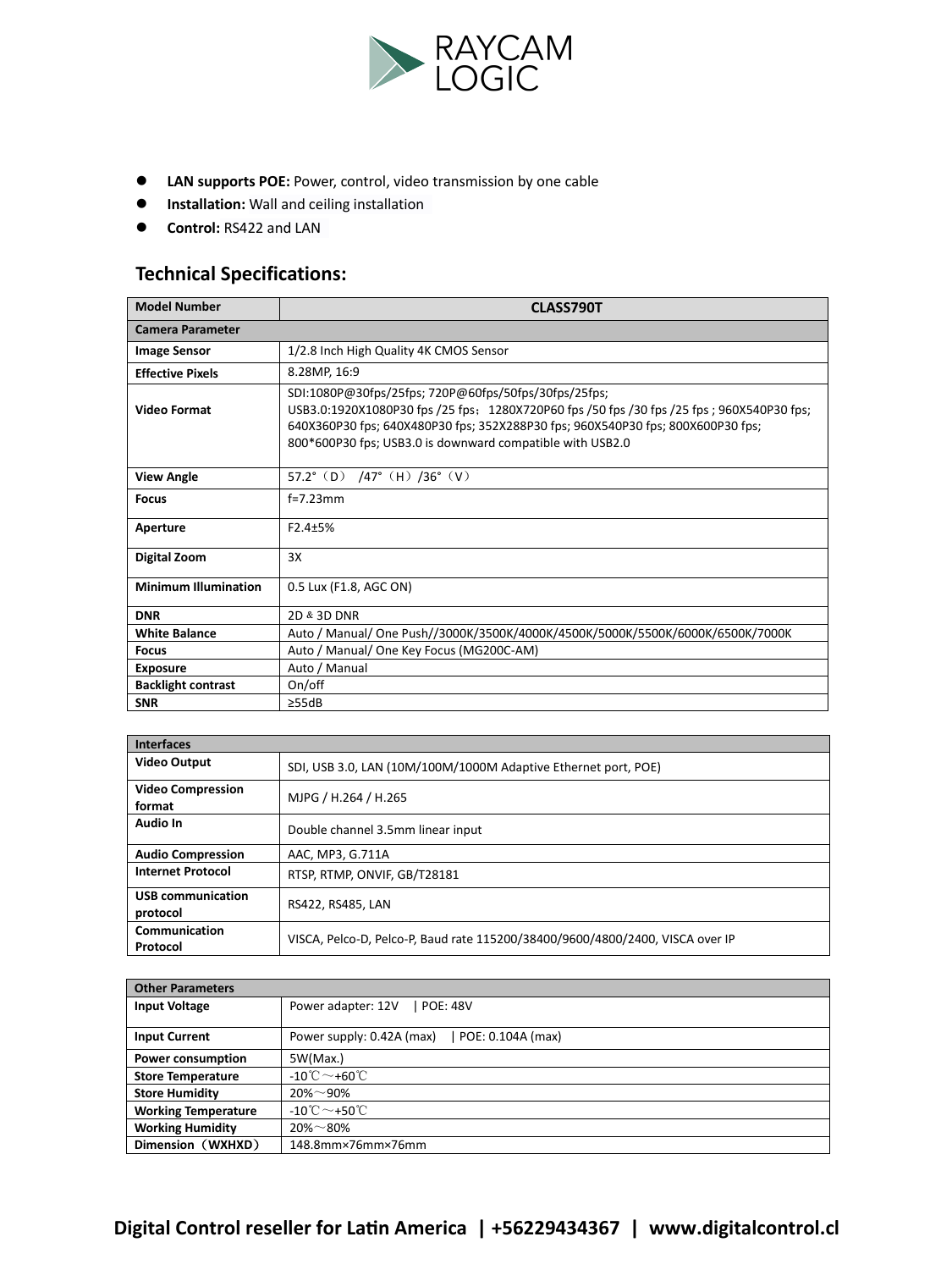

- **Control: Control:** Control: Video transmission by one cable
- **•** Installation: Wall and ceiling installation
- **Control:** RS422 and LAN

## **Technical Specifications:**

| <b>Model Number</b>         | CLASS790T                                                                                                                                                                                                                                                                                          |  |
|-----------------------------|----------------------------------------------------------------------------------------------------------------------------------------------------------------------------------------------------------------------------------------------------------------------------------------------------|--|
| <b>Camera Parameter</b>     |                                                                                                                                                                                                                                                                                                    |  |
| <b>Image Sensor</b>         | 1/2.8 Inch High Quality 4K CMOS Sensor                                                                                                                                                                                                                                                             |  |
| <b>Effective Pixels</b>     | 8.28MP. 16:9                                                                                                                                                                                                                                                                                       |  |
| Video Format                | SDI:1080P@30fps/25fps; 720P@60fps/50fps/30fps/25fps;<br>USB3.0:1920X1080P30 fps /25 fps: 1280X720P60 fps /50 fps /30 fps /25 fps ; 960X540P30 fps;<br>640X360P30 fps; 640X480P30 fps; 352X288P30 fps; 960X540P30 fps; 800X600P30 fps;<br>800*600P30 fps; USB3.0 is downward compatible with USB2.0 |  |
| <b>View Angle</b>           | 57.2° (D) $/47$ ° (H) $/36$ ° (V)                                                                                                                                                                                                                                                                  |  |
| <b>Focus</b>                | $f=7.23$ mm                                                                                                                                                                                                                                                                                        |  |
| Aperture                    | $F2.4 + 5%$                                                                                                                                                                                                                                                                                        |  |
| Digital Zoom                | 3X                                                                                                                                                                                                                                                                                                 |  |
| <b>Minimum Illumination</b> | 0.5 Lux (F1.8, AGC ON)                                                                                                                                                                                                                                                                             |  |
| <b>DNR</b>                  | 2D & 3D DNR                                                                                                                                                                                                                                                                                        |  |
| <b>White Balance</b>        | Auto / Manual/ One Push//3000K/3500K/4000K/4500K/5000K/5500K/6000K/6500K/7000K                                                                                                                                                                                                                     |  |
| <b>Focus</b>                | Auto / Manual/ One Key Focus (MG200C-AM)                                                                                                                                                                                                                                                           |  |
| <b>Exposure</b>             | Auto / Manual                                                                                                                                                                                                                                                                                      |  |
| <b>Backlight contrast</b>   | On/off                                                                                                                                                                                                                                                                                             |  |
| <b>SNR</b>                  | >55dB                                                                                                                                                                                                                                                                                              |  |

| <b>Interfaces</b>                    |                                                                               |  |
|--------------------------------------|-------------------------------------------------------------------------------|--|
| <b>Video Output</b>                  | SDI, USB 3.0, LAN (10M/100M/1000M Adaptive Ethernet port, POE)                |  |
| <b>Video Compression</b><br>format   | MJPG / H.264 / H.265                                                          |  |
| Audio In                             | Double channel 3.5mm linear input                                             |  |
| <b>Audio Compression</b>             | AAC, MP3, G.711A                                                              |  |
| <b>Internet Protocol</b>             | RTSP. RTMP. ONVIF. GB/T28181                                                  |  |
| <b>USB communication</b><br>protocol | RS422, RS485, LAN                                                             |  |
| Communication<br>Protocol            | VISCA, Pelco-D, Pelco-P, Baud rate 115200/38400/9600/4800/2400, VISCA over IP |  |

| <b>Other Parameters</b>    |                                                |  |
|----------------------------|------------------------------------------------|--|
| <b>Input Voltage</b>       | Power adapter: 12V<br>  POE: 48V               |  |
| <b>Input Current</b>       | POE: 0.104A (max)<br>Power supply: 0.42A (max) |  |
| Power consumption          | 5W(Max.)                                       |  |
| <b>Store Temperature</b>   | $-10^{\circ}$ C ~ +60 $^{\circ}$ C             |  |
| <b>Store Humidity</b>      | $20\% - 90\%$                                  |  |
| <b>Working Temperature</b> | -10 $\textdegree$ $\sim$ +50 $\textdegree$ C   |  |
| <b>Working Humidity</b>    | $20\% - 80\%$                                  |  |
| Dimension (WXHXD)          | 148.8mm×76mm×76mm                              |  |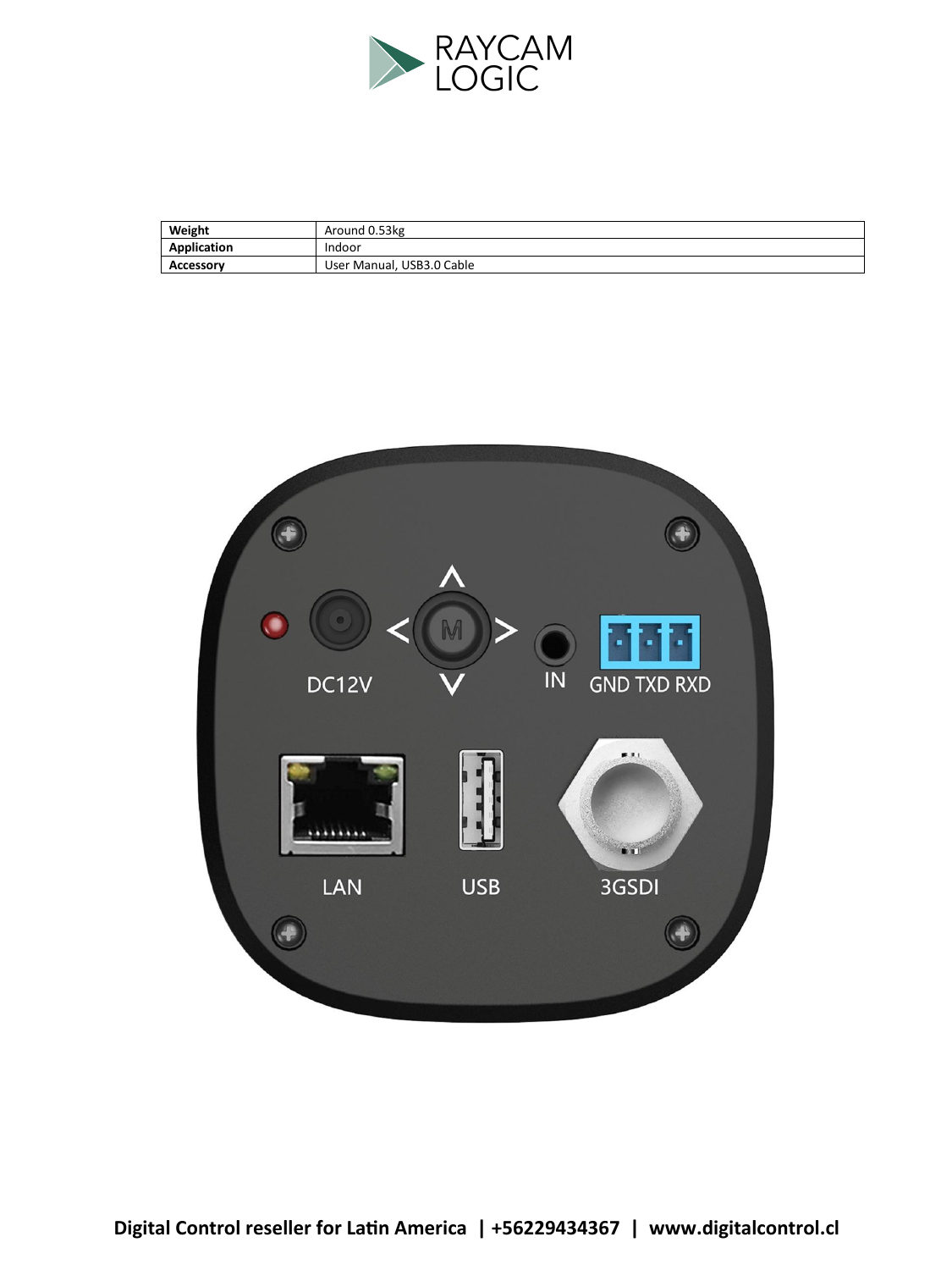

| Weight      | Around 0.53kg             |
|-------------|---------------------------|
| Application | Indoor                    |
| Accessory   | User Manual, USB3.0 Cable |